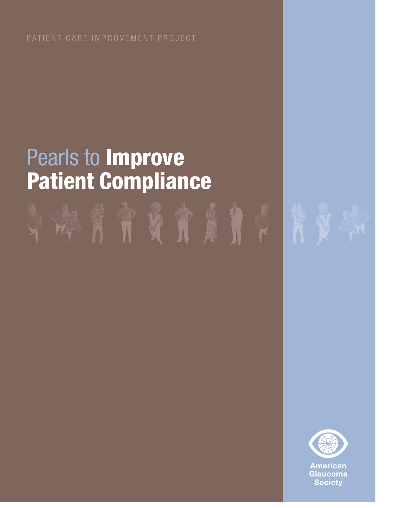# Pearls to **Improve Patient Compliance**



**American Glaucoma Society**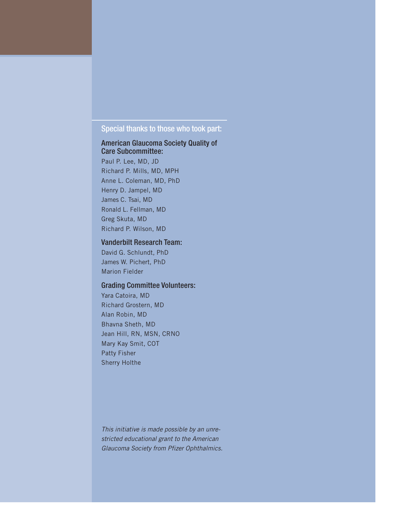# Special thanks to those who took part:

# American Glaucoma Society Quality of Care Subcommittee:

Paul P. Lee, MD, JD Richard P. Mills, MD, MPH Anne L. Coleman, MD, PhD Henry D. Jampel, MD James C. Tsai, MD Ronald L. Fellman, MD Greg Skuta, MD Richard P. Wilson, MD

### Vanderbilt Research Team:

David G. Schlundt, PhD James W. Pichert, PhD Marion Fielder

# Grading Committee Volunteers:

Yara Catoira, MD Richard Grostern, MD Alan Robin, MD Bhavna Sheth, MD Jean Hill, RN, MSN, CRNO Mary Kay Smit, COT Patty Fisher Sherry Holthe

This initiative is made possible by an unrestricted educational grant to the American Glaucoma Society from Pfizer Ophthalmics.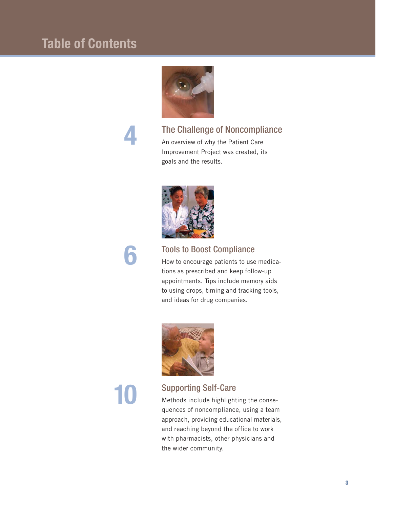# **Table of Contents**



# **4**

# The Challenge of Noncompliance

An overview of why the Patient Care Improvement Project was created, its goals and the results.



# **6**

# Tools to Boost Compliance

How to encourage patients to use medications as prescribed and keep follow-up appointments. Tips include memory aids to using drops, timing and tracking tools, and ideas for drug companies.



# **10**

# Supporting Self-Care

Methods include highlighting the consequences of noncompliance, using a team approach, providing educational materials, and reaching beyond the office to work with pharmacists, other physicians and the wider community.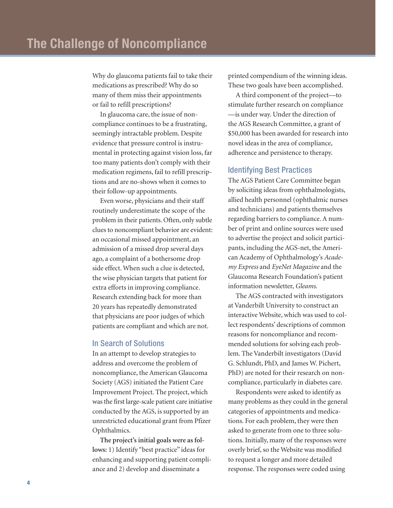Why do glaucoma patients fail to take their medications as prescribed? Why do so many of them miss their appointments or fail to refill prescriptions?

In glaucoma care, the issue of noncompliance continues to be a frustrating, seemingly intractable problem. Despite evidence that pressure control is instrumental in protecting against vision loss, far too many patients don't comply with their medication regimens, fail to refill prescriptions and are no-shows when it comes to their follow-up appointments.

Even worse, physicians and their staff routinely underestimate the scope of the problem in their patients. Often, only subtle clues to noncompliant behavior are evident: an occasional missed appointment, an admission of a missed drop several days ago, a complaint of a bothersome drop side effect. When such a clue is detected, the wise physician targets that patient for extra efforts in improving compliance. Research extending back for more than 20 years has repeatedly demonstrated that physicians are poor judges of which patients are compliant and which are not.

# In Search of Solutions

In an attempt to develop strategies to address and overcome the problem of noncompliance, the American Glaucoma Society (AGS) initiated the Patient Care Improvement Project. The project, which was the first large-scale patient care initiative conducted by the AGS, is supported by an unrestricted educational grant from Pfizer Ophthalmics.

**The project's initial goals were as follows:** 1) Identify "best practice" ideas for enhancing and supporting patient compliance and 2) develop and disseminate a

printed compendium of the winning ideas. These two goals have been accomplished.

A third component of the project—to stimulate further research on compliance —is under way. Under the direction of the AGS Research Committee, a grant of \$50,000 has been awarded for research into novel ideas in the area of compliance, adherence and persistence to therapy.

#### Identifying Best Practices

The AGS Patient Care Committee began by soliciting ideas from ophthalmologists, allied health personnel (ophthalmic nurses and technicians) and patients themselves regarding barriers to compliance. A number of print and online sources were used to advertise the project and solicit participants, including the AGS-net, the American Academy of Ophthalmology's *Academy Express* and *EyeNet Magazine* and the Glaucoma Research Foundation's patient information newsletter, *Gleams*.

The AGS contracted with investigators at Vanderbilt University to construct an interactive Website, which was used to collect respondents' descriptions of common reasons for noncompliance and recommended solutions for solving each problem. The Vanderbilt investigators (David G. Schlundt, PhD, and James W. Pichert, PhD) are noted for their research on noncompliance, particularly in diabetes care.

Respondents were asked to identify as many problems as they could in the general categories of appointments and medications. For each problem, they were then asked to generate from one to three solutions. Initially, many of the responses were overly brief, so the Website was modified to request a longer and more detailed response. The responses were coded using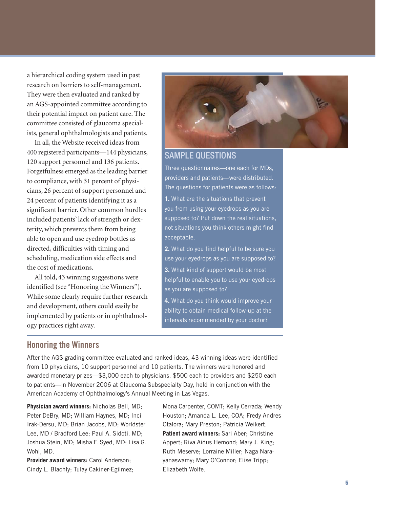a hierarchical coding system used in past research on barriers to self-management. They were then evaluated and ranked by an AGS-appointed committee according to their potential impact on patient care. The committee consisted of glaucoma specialists, general ophthalmologists and patients.

In all, the Website received ideas from 400 registered participants—144 physicians, 120 support personnel and 136 patients. Forgetfulness emerged as the leading barrier to compliance, with 31 percent of physicians, 26 percent of support personnel and 24 percent of patients identifying it as a significant barrier. Other common hurdles included patients' lack of strength or dexterity, which prevents them from being able to open and use eyedrop bottles as directed, difficulties with timing and scheduling, medication side effects and the cost of medications.

All told, 43 winning suggestions were identified (see "Honoring the Winners"). While some clearly require further research and development, others could easily be implemented by patients or in ophthalmology practices right away.



# SAMPLE QUESTIONS

Three questionnaires—one each for MDs, providers and patients—were distributed. The questions for patients were as follows:

**1.** What are the situations that prevent you from using your eyedrops as you are supposed to? Put down the real situations, not situations you think others might find acceptable.

**2.** What do you find helpful to be sure you use your eyedrops as you are supposed to? **3.** What kind of support would be most helpful to enable you to use your eyedrops as you are supposed to?

**4.** What do you think would improve your ability to obtain medical follow-up at the intervals recommended by your doctor?

# **Honoring the Winners**

After the AGS grading committee evaluated and ranked ideas, 43 winning ideas were identified from 10 physicians, 10 support personnel and 10 patients. The winners were honored and awarded monetary prizes—\$3,000 each to physicians, \$500 each to providers and \$250 each to patients—in November 2006 at Glaucoma Subspecialty Day, held in conjunction with the American Academy of Ophthalmology's Annual Meeting in Las Vegas.

**Physician award winners:** Nicholas Bell, MD; Peter DeBry, MD; William Haynes, MD; Inci Irak-Dersu, MD; Brian Jacobs, MD; Worldster Lee, MD / Bradford Lee; Paul A. Sidoti, MD; Joshua Stein, MD; Misha F. Syed, MD; Lisa G. Wohl, MD.

**Provider award winners:** Carol Anderson; Cindy L. Blachly; Tulay Cakiner-Egilmez; Mona Carpenter, COMT; Kelly Cerrada; Wendy Houston; Amanda L. Lee, COA; Fredy Andres Otalora; Mary Preston; Patricia Weikert. **Patient award winners:** Sari Aber; Christine Appert; Riva Aidus Hemond; Mary J. King; Ruth Meserve; Lorraine Miller; Naga Narayanaswamy; Mary O'Connor; Elise Tripp; Elizabeth Wolfe.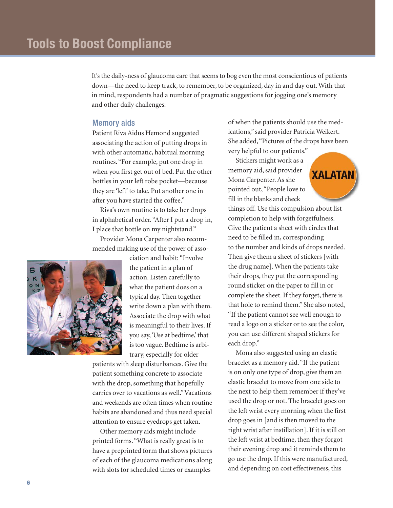It's the daily-ness of glaucoma care that seems to bog even the most conscientious of patients down—the need to keep track, to remember, to be organized, day in and day out. With that in mind, respondents had a number of pragmatic suggestions for jogging one's memory and other daily challenges:

# Memory aids

Patient Riva Aidus Hemond suggested associating the action of putting drops in with other automatic, habitual morning routines. "For example, put one drop in when you first get out of bed. Put the other bottles in your left robe pocket—because they are 'left' to take. Put another one in after you have started the coffee."

Riva's own routine is to take her drops in alphabetical order. "After I put a drop in, I place that bottle on my nightstand."

Provider Mona Carpenter also recommended making use of the power of asso-



ciation and habit: "Involve the patient in a plan of action. Listen carefully to what the patient does on a typical day. Then together write down a plan with them. Associate the drop with what is meaningful to their lives. If you say,'Use at bedtime,' that is too vague. Bedtime is arbitrary, especially for older

patients with sleep disturbances. Give the patient something concrete to associate with the drop, something that hopefully carries over to vacations as well."Vacations and weekends are often times when routine habits are abandoned and thus need special attention to ensure eyedrops get taken.

Other memory aids might include printed forms. "What is really great is to have a preprinted form that shows pictures of each of the glaucoma medications along with slots for scheduled times or examples

of when the patients should use the medications," said provider Patricia Weikert. She added,"Pictures of the drops have been very helpful to our patients."

Stickers might work as a memory aid, said provider Mona Carpenter. As she pointed out, "People love to fill in the blanks and check



things off. Use this compulsion about list completion to help with forgetfulness. Give the patient a sheet with circles that need to be filled in, corresponding to the number and kinds of drops needed. Then give them a sheet of stickers [with the drug name]. When the patients take their drops, they put the corresponding round sticker on the paper to fill in or complete the sheet. If they forget, there is that hole to remind them." She also noted, "If the patient cannot see well enough to read a logo on a sticker or to see the color, you can use different shaped stickers for each drop."

Mona also suggested using an elastic bracelet as a memory aid. "If the patient is on only one type of drop, give them an elastic bracelet to move from one side to the next to help them remember if they've used the drop or not. The bracelet goes on the left wrist every morning when the first drop goes in [and is then moved to the right wrist after instillation]. If it is still on the left wrist at bedtime, then they forgot their evening drop and it reminds them to go use the drop. If this were manufactured, and depending on cost effectiveness, this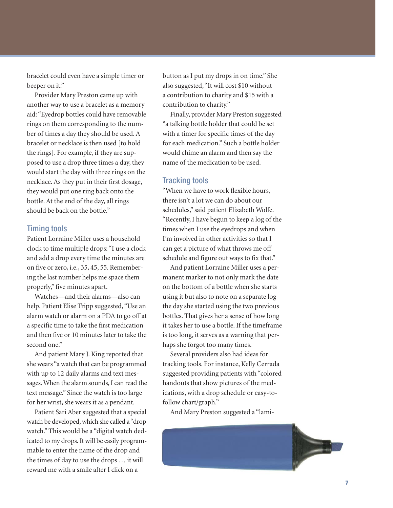bracelet could even have a simple timer or beeper on it."

Provider Mary Preston came up with another way to use a bracelet as a memory aid: "Eyedrop bottles could have removable rings on them corresponding to the number of times a day they should be used. A bracelet or necklace is then used [to hold the rings]. For example, if they are supposed to use a drop three times a day, they would start the day with three rings on the necklace. As they put in their first dosage, they would put one ring back onto the bottle. At the end of the day, all rings should be back on the bottle."

### Timing tools

Patient Lorraine Miller uses a household clock to time multiple drops: "I use a clock and add a drop every time the minutes are on five or zero, i.e., 35, 45, 55. Remembering the last number helps me space them properly," five minutes apart.

Watches—and their alarms—also can help. Patient Elise Tripp suggested, "Use an alarm watch or alarm on a PDA to go off at a specific time to take the first medication and then five or 10 minutes later to take the second one."

And patient Mary J. King reported that she wears "a watch that can be programmed with up to 12 daily alarms and text messages. When the alarm sounds, I can read the text message." Since the watch is too large for her wrist, she wears it as a pendant.

Patient Sari Aber suggested that a special watch be developed, which she called a "drop watch." This would be a "digital watch dedicated to my drops. It will be easily programmable to enter the name of the drop and the times of day to use the drops … it will reward me with a smile after I click on a

button as I put my drops in on time." She also suggested, "It will cost \$10 without a contribution to charity and \$15 with a contribution to charity."

Finally, provider Mary Preston suggested "a talking bottle holder that could be set with a timer for specific times of the day for each medication." Such a bottle holder would chime an alarm and then say the name of the medication to be used.

### Tracking tools

"When we have to work flexible hours, there isn't a lot we can do about our schedules," said patient Elizabeth Wolfe. "Recently, I have begun to keep a log of the times when I use the eyedrops and when I'm involved in other activities so that I can get a picture of what throws me off schedule and figure out ways to fix that."

And patient Lorraine Miller uses a permanent marker to not only mark the date on the bottom of a bottle when she starts using it but also to note on a separate log the day she started using the two previous bottles. That gives her a sense of how long it takes her to use a bottle. If the timeframe is too long, it serves as a warning that perhaps she forgot too many times.

Several providers also had ideas for tracking tools. For instance, Kelly Cerrada suggested providing patients with "colored handouts that show pictures of the medications, with a drop schedule or easy-tofollow chart/graph."

And Mary Preston suggested a "lami-

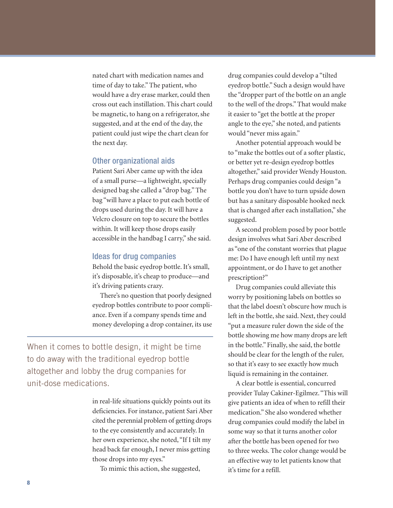nated chart with medication names and time of day to take." The patient, who would have a dry erase marker, could then cross out each instillation. This chart could be magnetic, to hang on a refrigerator, she suggested, and at the end of the day, the patient could just wipe the chart clean for the next day.

# Other organizational aids

Patient Sari Aber came up with the idea of a small purse—a lightweight, specially designed bag she called a "drop bag." The bag "will have a place to put each bottle of drops used during the day. It will have a Velcro closure on top to secure the bottles within. It will keep those drops easily accessible in the handbag I carry," she said.

#### Ideas for drug companies

Behold the basic eyedrop bottle. It's small, it's disposable, it's cheap to produce—and it's driving patients crazy.

There's no question that poorly designed eyedrop bottles contribute to poor compliance. Even if a company spends time and money developing a drop container, its use

When it comes to bottle design, it might be time to do away with the traditional eyedrop bottle altogether and lobby the drug companies for unit-dose medications.

> in real-life situations quickly points out its deficiencies. For instance, patient Sari Aber cited the perennial problem of getting drops to the eye consistently and accurately. In her own experience, she noted, "If I tilt my head back far enough, I never miss getting those drops into my eyes."

To mimic this action, she suggested,

drug companies could develop a "tilted eyedrop bottle." Such a design would have the "dropper part of the bottle on an angle to the well of the drops." That would make it easier to "get the bottle at the proper angle to the eye," she noted, and patients would "never miss again."

Another potential approach would be to "make the bottles out of a softer plastic, or better yet re-design eyedrop bottles altogether," said provider Wendy Houston. Perhaps drug companies could design "a bottle you don't have to turn upside down but has a sanitary disposable hooked neck that is changed after each installation," she suggested.

A second problem posed by poor bottle design involves what Sari Aber described as "one of the constant worries that plague me: Do I have enough left until my next appointment, or do I have to get another prescription?"

Drug companies could alleviate this worry by positioning labels on bottles so that the label doesn't obscure how much is left in the bottle, she said. Next, they could "put a measure ruler down the side of the bottle showing me how many drops are left in the bottle." Finally, she said, the bottle should be clear for the length of the ruler, so that it's easy to see exactly how much liquid is remaining in the container.

A clear bottle is essential, concurred provider Tulay Cakiner-Egilmez. "This will give patients an idea of when to refill their medication." She also wondered whether drug companies could modify the label in some way so that it turns another color after the bottle has been opened for two to three weeks. The color change would be an effective way to let patients know that it's time for a refill.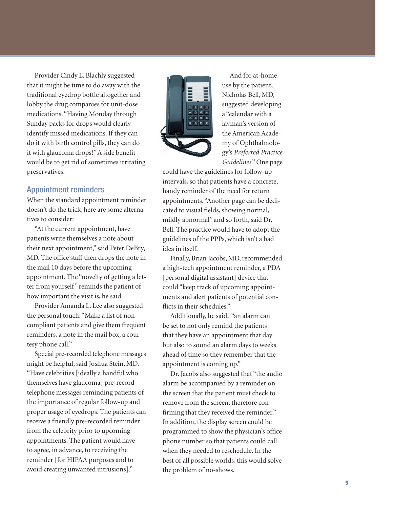Provider Cindy L. Blachly suggested that it might be time to do away with the traditional eyedrop bottle altogether and lobby the drug companies for unit-dose medications. "Having Monday through Sunday packs for drops would clearly identify missed medications. If they can do it with birth control pills, they can do it with glaucoma drops!" A side benefit would be to get rid of sometimes irritating preservatives.

# Appointment reminders

When the standard appointment reminder doesn't do the trick, here are some alternatives to consider:

"At the current appointment, have patients write themselves a note about their next appointment," said Peter DeBry, MD. The office staff then drops the note in the mail 10 days before the upcoming appointment. The "novelty of getting a letter from yourself" reminds the patient of how important the visit is, he said.

Provider Amanda L. Lee also suggested the personal touch: "Make a list of noncompliant patients and give them frequent reminders, a note in the mail box, a courtesy phone call."

Special pre-recorded telephone messages might be helpful, said Joshua Stein, MD. "Have celebrities [ideally a handful who themselves have glaucoma] pre-record telephone messages reminding patients of the importance of regular follow-up and proper usage of eyedrops. The patients can receive a friendly pre-recorded reminder from the celebrity prior to upcoming appointments. The patient would have to agree, in advance, to receiving the reminder [for HIPAA purposes and to avoid creating unwanted intrusions]."



And for at-home use by the patient, Nicholas Bell, MD, suggested developing a "calendar with a layman's version of the American Academy of Ophthalmology's *Preferred Practice Guidelines*." One page

could have the guidelines for follow-up intervals, so that patients have a concrete, handy reminder of the need for return appointments. "Another page can be dedicated to visual fields, showing normal, mildly abnormal" and so forth, said Dr. Bell. The practice would have to adopt the guidelines of the PPPs, which isn't a bad idea in itself.

Finally, Brian Jacobs, MD, recommended a high-tech appointment reminder, a PDA [personal digital assistant] device that could "keep track of upcoming appointments and alert patients of potential conflicts in their schedules."

Additionally, he said, "an alarm can be set to not only remind the patients that they have an appointment that day but also to sound an alarm days to weeks ahead of time so they remember that the appointment is coming up."

Dr. Jacobs also suggested that "the audio alarm be accompanied by a reminder on the screen that the patient must check to remove from the screen, therefore confirming that they received the reminder." In addition, the display screen could be programmed to show the physician's office phone number so that patients could call when they needed to reschedule. In the best of all possible worlds, this would solve the problem of no-shows.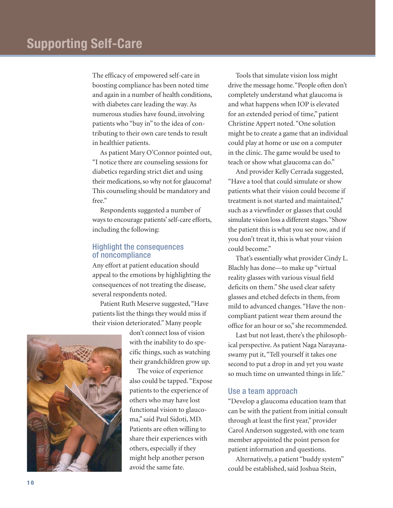The efficacy of empowered self-care in boosting compliance has been noted time and again in a number of health conditions, with diabetes care leading the way. As numerous studies have found, involving patients who "buy in" to the idea of contributing to their own care tends to result in healthier patients.

As patient Mary O'Connor pointed out, "I notice there are counseling sessions for diabetics regarding strict diet and using their medications, so why not for glaucoma? This counseling should be mandatory and free."

Respondents suggested a number of ways to encourage patients' self-care efforts, including the following:

# Highlight the consequences of noncompliance

Any effort at patient education should appeal to the emotions by highlighting the consequences of not treating the disease, several respondents noted.

Patient Ruth Meserve suggested, "Have patients list the things they would miss if their vision deteriorated." Many people

don't connect loss of vision with the inability to do specific things, such as watching their grandchildren grow up.

The voice of experience also could be tapped. "Expose patients to the experience of others who may have lost functional vision to glaucoma," said Paul Sidoti, MD. Patients are often willing to share their experiences with others, especially if they might help another person avoid the same fate.

Tools that simulate vision loss might drive the message home."People often don't completely understand what glaucoma is and what happens when IOP is elevated for an extended period of time," patient Christine Appert noted. "One solution might be to create a game that an individual could play at home or use on a computer in the clinic. The game would be used to teach or show what glaucoma can do."

And provider Kelly Cerrada suggested, "Have a tool that could simulate or show patients what their vision could become if treatment is not started and maintained," such as a viewfinder or glasses that could simulate vision loss a different stages."Show the patient this is what you see now, and if you don't treat it, this is what your vision could become."

That's essentially what provider Cindy L. Blachly has done—to make up "virtual reality glasses with various visual field deficits on them." She used clear safety glasses and etched defects in them, from mild to advanced changes. "Have the noncompliant patient wear them around the office for an hour or so," she recommended.

Last but not least, there's the philosophical perspective. As patient Naga Narayanaswamy put it, "Tell yourself it takes one second to put a drop in and yet you waste so much time on unwanted things in life."

### Use a team approach

"Develop a glaucoma education team that can be with the patient from initial consult through at least the first year," provider Carol Anderson suggested, with one team member appointed the point person for patient information and questions.

Alternatively, a patient "buddy system" could be established, said Joshua Stein,

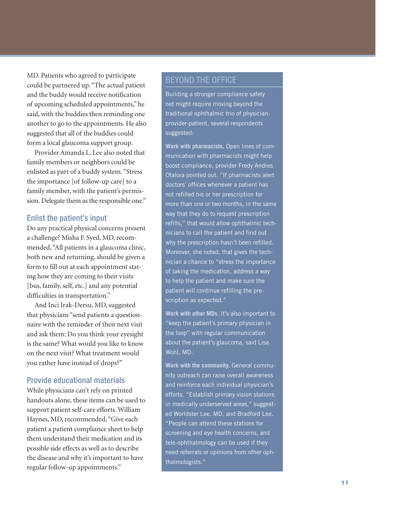MD. Patients who agreed to participate could be partnered up. "The actual patient and the buddy would receive notification of upcoming scheduled appointments," he said, with the buddies then reminding one another to go to the appointments. He also suggested that all of the buddies could form a local glaucoma support group.

Provider Amanda L. Lee also noted that family members or neighbors could be enlisted as part of a buddy system. "Stress the importance [of follow-up care] to a family member, with the patient's permission. Delegate them as the responsible one."

# Enlist the patient's input

Do any practical physical concerns present a challenge? Misha F. Syed, MD, recommended, "All patients in a glaucoma clinic, both new and returning, should be given a form to fill out at each appointment stating how they are coming to their visits [bus, family, self, etc.] and any potential difficulties in transportation."

And Inci Irak-Dersu, MD, suggested that physicians "send patients a questionnaire with the reminder of their next visit and ask them: Do you think your eyesight is the same? What would you like to know on the next visit? What treatment would you rather have instead of drops?"

# Provide educational materials

While physicians can't rely on printed handouts alone, these items can be used to support patient self-care efforts. William Haynes, MD, recommended, "Give each patient a patient compliance sheet to help them understand their medication and its possible side effects as well as to describe the disease and why it's important to have regular follow-up appointments."

# BEYOND THE OFFICE

Building a stronger compliance safety net might require moving beyond the traditional ophthalmic trio of physicianprovider-patient, several respondents suggested:

**Work with pharmacists.** Open lines of communication with pharmacists might help boost compliance, provider Fredy Andres Otalora pointed out. "If pharmacists alert doctors' offices whenever a patient has not refilled his or her prescription for more than one or two months, in the same way that they do to request prescription refills," that would allow ophthalmic technicians to call the patient and find out why the prescription hasn't been refilled. Moreover, she noted, that gives the technician a chance to "stress the importance of taking the medication, address a way to help the patient and make sure the patient will continue refilling the prescription as expected."

**Work with other MDs.** It's also important to "keep the patient's primary physician in the loop" with regular communication about the patient's glaucoma, said Lisa Wohl, MD.

**Work with the community.** General community outreach can raise overall awareness and reinforce each individual physician's efforts. "Establish primary vision stations in medically underserved areas," suggested Worldster Lee, MD, and Bradford Lee. "People can attend these stations for screening and eye health concerns, and tele-ophthalmology can be used if they need referrals or opinions from other ophthalmologists."